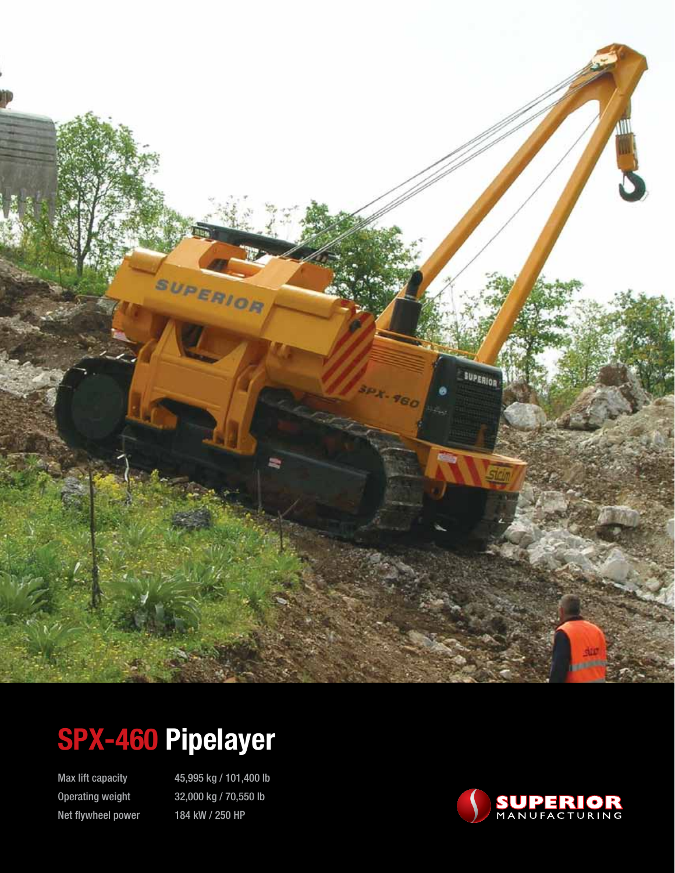

# **SPX-460 Pipelayer**

Net flywheel power 184 kW / 250 HP

Max lift capacity 45,995 kg / 101,400 lb Operating weight 32,000 kg / 70,550 lb

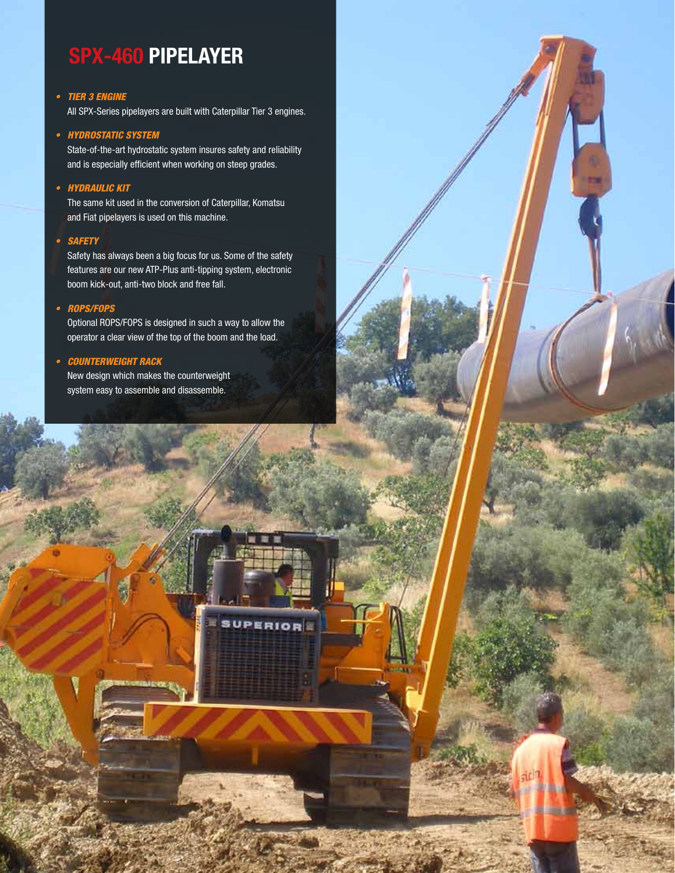## **SPX-460 PIPELAYER**

### • TIER 3 ENGINE

All SPX-Series pipelayers are built with Caterpillar Tier 3 engines.

### • HYDROSTATIC SYSTEM

State-of-the-art hydrostatic system insures safety and reliability and is especially efficient when working on steep grades.

### • Hydraulic kit

The same kit used in the conversion of Caterpillar, Komatsu and Fiat pipelayers is used on this machine.

### • Safety

Safety has always been a big focus for us. Some of the safety features are our new ATP-Plus anti-tipping system, electronic boom kick-out, anti-two block and free fall.

### • ROPS/FOPS

Optional ROPS/FOPS is designed in such a way to allow the operator a clear view of the top of the boom and the load.

**SUPERIOR** 

×

### • Counterweight rack

New design which makes the counterweight system easy to assemble and disassemble.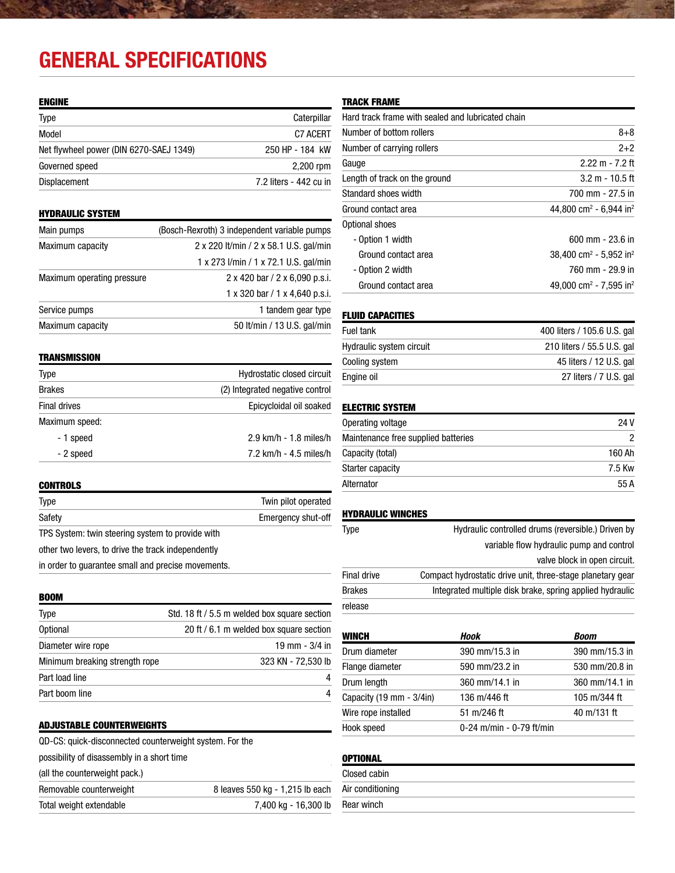## **General Specifications**

### ENGINE

| <b>Type</b>                             | Caterpillar            |
|-----------------------------------------|------------------------|
| Model                                   | C7 ACERT               |
| Net flywheel power (DIN 6270-SAEJ 1349) | 250 HP - 184 kW        |
| Governed speed                          | 2,200 rpm              |
| <b>Displacement</b>                     | 7.2 liters - 442 cu in |

### HYDRAULIC SYSTEM

| Main pumps                 | (Bosch-Rexroth) 3 independent variable pumps |  |  |
|----------------------------|----------------------------------------------|--|--|
| Maximum capacity           | 2 x 220 lt/min / 2 x 58.1 U.S. gal/min       |  |  |
|                            | 1 x 273 l/min / 1 x 72.1 U.S. gal/min        |  |  |
| Maximum operating pressure | 2 x 420 bar / 2 x 6,090 p.s.i.               |  |  |
|                            | 1 x 320 bar / 1 x 4,640 p.s.i.               |  |  |
| Service pumps              | 1 tandem gear type                           |  |  |
| Maximum capacity           | 50 lt/min / 13 U.S. gal/min                  |  |  |
|                            |                                              |  |  |

### **TRANSMISSION**

| Type           | Hydrostatic closed circuit      |
|----------------|---------------------------------|
| <b>Brakes</b>  | (2) Integrated negative control |
| Final drives   | Epicycloidal oil soaked         |
| Maximum speed: |                                 |
| - 1 speed      | 2.9 km/h - 1.8 miles/h          |
| - 2 speed      | 7.2 km/h - 4.5 miles/h          |

### **CONTROLS**

| Type   |  |  |  |  |  | Twin pilot operated |
|--------|--|--|--|--|--|---------------------|
| Safety |  |  |  |  |  | Emergency shut-off  |
| $  -$  |  |  |  |  |  |                     |

TPS System: twin steering system to provide with

other two levers, to drive the track independently

in order to guarantee small and precise movements.

| <b>BOOM</b>                    |                                              |
|--------------------------------|----------------------------------------------|
| <b>Type</b>                    | Std. 18 ft / 5.5 m welded box square section |
| <b>Optional</b>                | 20 ft / 6.1 m welded box square section      |
| Diameter wire rope             | 19 mm $-3/4$ in                              |
| Minimum breaking strength rope | 323 KN - 72,530 lb                           |
| Part load line                 | 4                                            |
| Part boom line                 | 4                                            |

### ADJUSTABLE COUNTERWEIGHTS

| Total weight extendable                                 | 7,400 kg - 16,300 lb            |
|---------------------------------------------------------|---------------------------------|
| Removable counterweight                                 | 8 leaves 550 kg - 1,215 lb each |
| (all the counterweight pack.)                           |                                 |
| possibility of disassembly in a short time              |                                 |
| QD-CS: quick-disconnected counterweight system. For the |                                 |

### TRACK FRAME

| Hard track frame with sealed and lubricated chain |                                                |
|---------------------------------------------------|------------------------------------------------|
| Number of bottom rollers                          | $8 + 8$                                        |
| Number of carrying rollers                        | $2 + 2$                                        |
| Gauge                                             | $2.22 m - 7.2 ft$                              |
| Length of track on the ground                     | $3.2 m - 10.5 ft$                              |
| Standard shoes width                              | 700 mm - 27.5 in                               |
| Ground contact area                               | 44,800 cm <sup>2</sup> - 6,944 in <sup>2</sup> |
| Optional shoes                                    |                                                |
| - Option 1 width                                  | 600 mm - 23.6 in                               |
| Ground contact area                               | 38,400 cm <sup>2</sup> - 5,952 in <sup>2</sup> |
| - Option 2 width                                  | 760 mm - 29.9 in                               |
| Ground contact area                               | 49.000 cm <sup>2</sup> - 7.595 in <sup>2</sup> |

### FLUID CAPACITIES

| 210 liters / 55.5 U.S. gal |
|----------------------------|
| 45 liters / 12 U.S. gal    |
| 27 liters / 7 U.S. gal     |
|                            |

### ELECTRIC SYSTEM

| Operating voltage                   | 24 V   |
|-------------------------------------|--------|
| Maintenance free supplied batteries |        |
| Capacity (total)                    | 160 Ah |
| Starter capacity                    | 7.5 Kw |
| Alternator                          | 55A    |

### HYDRAULIC WINCHES

| <b>Type</b>   | Hydraulic controlled drums (reversible.) Driven by         |
|---------------|------------------------------------------------------------|
|               | variable flow hydraulic pump and control                   |
|               | valve block in open circuit.                               |
| Final drive   | Compact hydrostatic drive unit, three-stage planetary gear |
| <b>Brakes</b> | Integrated multiple disk brake, spring applied hydraulic   |
| release       |                                                            |

| <b>WINCH</b>                              | Hook                     | <b>Boom</b>    |
|-------------------------------------------|--------------------------|----------------|
| Drum diameter                             | 390 mm/15.3 in           | 390 mm/15.3 in |
| Flange diameter                           | 590 mm/23.2 in           | 530 mm/20.8 in |
| Drum length                               | 360 mm/14.1 in           | 360 mm/14.1 in |
| Capacity $(19 \text{ mm} - 3/4\text{in})$ | 136 m/446 ft             | 105 m/344 ft   |
| Wire rope installed                       | 51 m/246 ft              | 40 m/131 ft    |
| Hook speed                                | 0-24 m/min - 0-79 ft/min |                |

### **OPTIONAL**

| Closed cabin     |
|------------------|
| Air conditioning |
| Rear winch       |
|                  |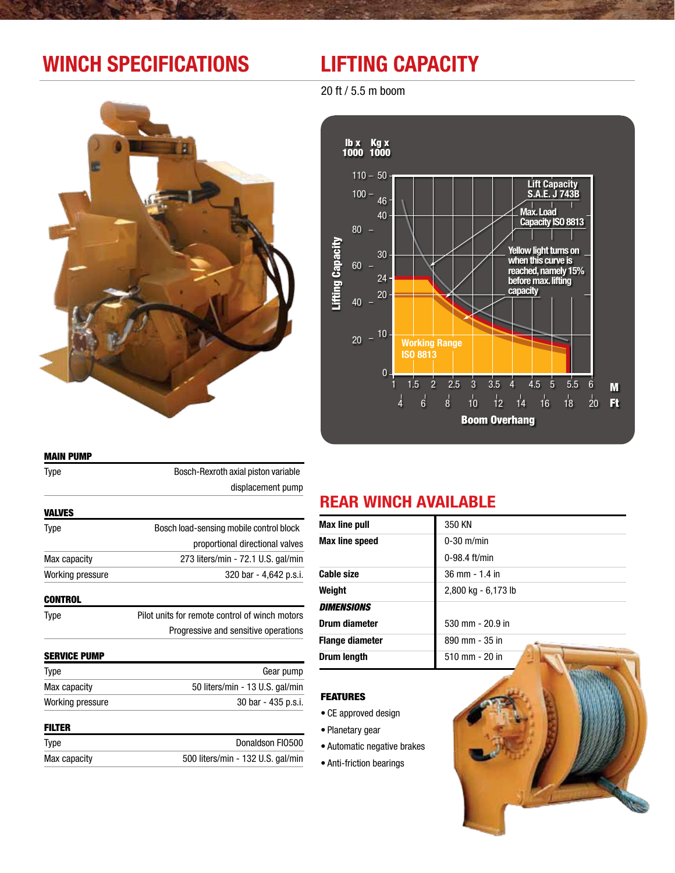## **Winch Specifications Lifting Capacity**

20 ft / 5.5 m boom





### Main Pump

| Type                | Bosch-Rexroth axial piston variable            |  |
|---------------------|------------------------------------------------|--|
|                     | displacement pump                              |  |
| <b>VALVES</b>       |                                                |  |
| Type                | Bosch load-sensing mobile control block        |  |
|                     | proportional directional valves                |  |
| Max capacity        | 273 liters/min - 72.1 U.S. gal/min             |  |
| Working pressure    | 320 bar - 4,642 p.s.i.                         |  |
| <b>CONTROL</b>      |                                                |  |
| Type                | Pilot units for remote control of winch motors |  |
|                     | Progressive and sensitive operations           |  |
| <b>SERVICE PUMP</b> |                                                |  |
| Type                | Gear pump                                      |  |
| Max capacity        | 50 liters/min - 13 U.S. gal/min                |  |
| Working pressure    | 30 bar - 435 p.s.i.                            |  |

### Filter

| Type         | Donaldson FI0500                  |
|--------------|-----------------------------------|
| Max capacity | 500 liters/min - 132 U.S. gal/min |

## **REAR WINCH AVAILABLE**

| <b>Max line pull</b>   | 350 KN              |  |  |
|------------------------|---------------------|--|--|
| Max line speed         | $0-30$ m/min        |  |  |
|                        | $0-98.4$ ft/min     |  |  |
| <b>Cable size</b>      | 36 mm - 1.4 in      |  |  |
| Weight                 | 2,800 kg - 6,173 lb |  |  |
| <b>DIMENSIONS</b>      |                     |  |  |
| Drum diameter          | 530 mm - 20.9 in    |  |  |
| <b>Flange diameter</b> | 890 mm - 35 in      |  |  |
| Drum length            | $510$ mm $- 20$ in  |  |  |

### **FEATURES**

- • CE approved design
- • Planetary gear
- • Automatic negative brakes
- Anti-friction bearings

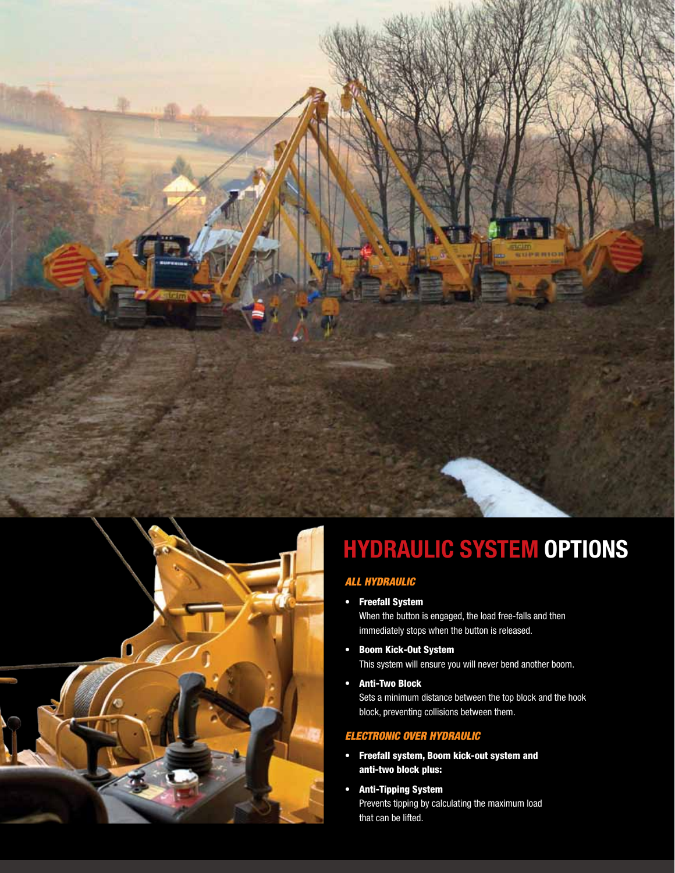



# **HYDRAULIC SYSTEM OPTIONS**

## *ALL HYDRAULIC*

• Freefall System 

When the button is engaged, the load free-falls and then immediately stops when the button is released.

- • Boom Kick-Out System This system will ensure you will never bend another boom.
- • Anti-Two Block

Sets a minimum distance between the top block and the hook block, preventing collisions between them.

### *ELECTRONIC OVER HYDRAULIC*

- • Freefall system, Boom kick-out system and anti-two block plus:
- • Anti-Tipping System Prevents tipping by calculating the maximum load that can be lifted.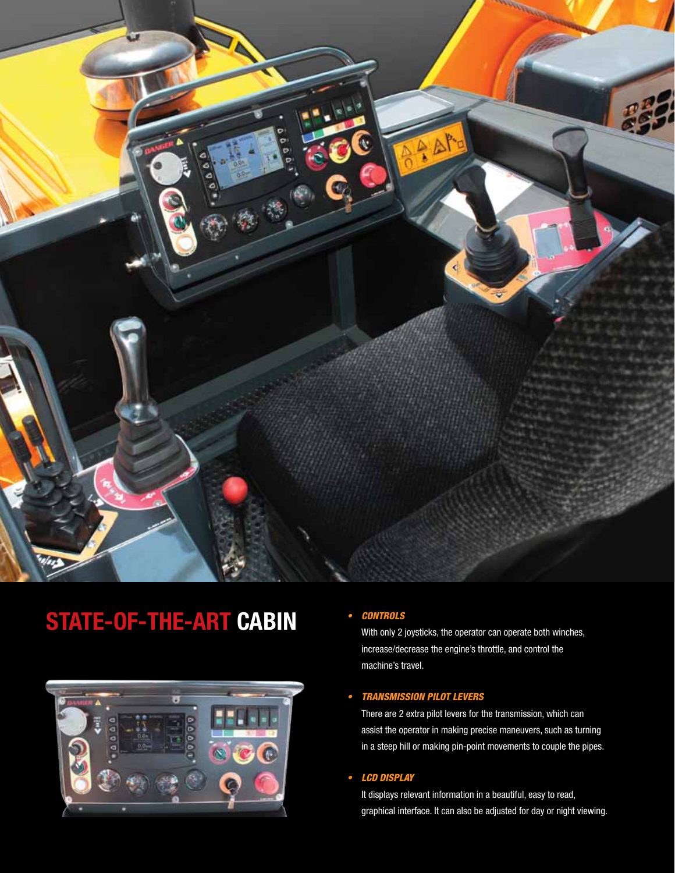

# **STATE-OF-THE-ART CABIN** • CONTROLS



With only 2 joysticks, the operator can operate both winches, increase/decrease the engine's throttle, and control the machine's travel.

### • Transmission pilot levers

There are 2 extra pilot levers for the transmission, which can assist the operator in making precise maneuvers, such as turning in a steep hill or making pin-point movements to couple the pipes.

### • LCD DISPLAY

It displays relevant information in a beautiful, easy to read, graphical interface. It can also be adjusted for day or night viewing.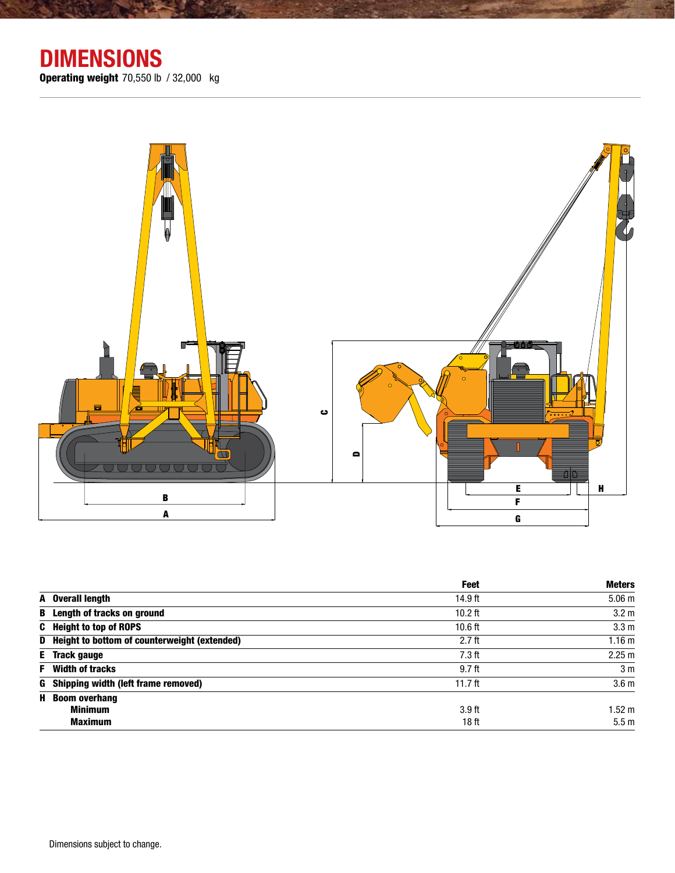

|                                                | Feet      | <b>Meters</b>     |
|------------------------------------------------|-----------|-------------------|
| A Overall length                               | 14.9 ft   | 5.06 <sub>m</sub> |
| <b>B</b> Length of tracks on ground            | $10.2$ ft | 3.2 <sub>m</sub>  |
| <b>C</b> Height to top of ROPS                 | $10.6$ ft | 3.3 <sub>m</sub>  |
| D Height to bottom of counterweight (extended) | $2.7$ ft  | 1.16 <sub>m</sub> |
| <b>E</b> Track gauge                           | $7.3$ ft  | 2.25 m            |
| <b>F</b> Width of tracks                       | $9.7$ ft  | 3 <sub>m</sub>    |
| G Shipping width (left frame removed)          | 11.7 $ft$ | 3.6 <sub>m</sub>  |
| <b>H</b> Boom overhang                         |           |                   |
| <b>Minimum</b>                                 | $3.9$ ft  | $.52 \text{ m}$   |
| <b>Maximum</b>                                 | 18 ft     | 5.5 <sub>m</sub>  |